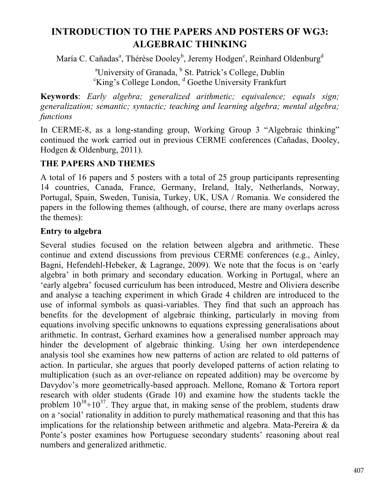# **INTRODUCTION TO THE PAPERS AND POSTERS OF WG3: ALGEBRAIC THINKING**

María C. Cañadasª, Thérèse Dooley<sup>b</sup>, Jeremy Hodgen<sup>c</sup>, Reinhard Oldenburg<sup>d</sup>

<sup>a</sup>University of Granada,  $\frac{b}{s}$  St. Patrick's College, Dublin  $\frac{c}{s}$  College, College, Landon,  $\frac{d}{s}$  Goethe University Frankfurt  $\epsilon$ King's College London,  $\epsilon$ <sup>d</sup> Goethe University Frankfurt

**Keywords**: *Early algebra; generalized arithmetic; equivalence; equals sign; generalization; semantic; syntactic; teaching and learning algebra; mental algebra; functions*

In CERME-8, as a long-standing group, Working Group 3 "Algebraic thinking" continued the work carried out in previous CERME conferences (Cañadas, Dooley, Hodgen & Oldenburg, 2011).

## **THE PAPERS AND THEMES**

A total of 16 papers and 5 posters with a total of 25 group participants representing 14 countries, Canada, France, Germany, Ireland, Italy, Netherlands, Norway, Portugal, Spain, Sweden, Tunisia, Turkey, UK, USA / Romania. We considered the papers in the following themes (although, of course, there are many overlaps across the themes):

## **Entry to algebra**

Several studies focused on the relation between algebra and arithmetic. These continue and extend discussions from previous CERME conferences (e.g., Ainley, Bagni, Hefendehl-Hebeker, & Lagrange, 2009). We note that the focus is on 'early algebra' in both primary and secondary education. Working in Portugal, where an 'early algebra' focused curriculum has been introduced, Mestre and Oliviera describe and analyse a teaching experiment in which Grade 4 children are introduced to the use of informal symbols as quasi-variables. They find that such an approach has benefits for the development of algebraic thinking, particularly in moving from equations involving specific unknowns to equations expressing generalisations about arithmetic. In contrast, Gerhard examines how a generalised number approach may hinder the development of algebraic thinking. Using her own interdependence analysis tool she examines how new patterns of action are related to old patterns of action. In particular, she argues that poorly developed patterns of action relating to multiplication (such as an over-reliance on repeated addition) may be overcome by Davydov's more geometrically-based approach. Mellone, Romano & Tortora report research with older students (Grade 10) and examine how the students tackle the problem  $10^{38}+10^{37}$ . They argue that, in making sense of the problem, students draw on a 'social' rationality in addition to purely mathematical reasoning and that this has implications for the relationship between arithmetic and algebra. Mata-Pereira & da Ponte's poster examines how Portuguese secondary students' reasoning about real numbers and generalized arithmetic.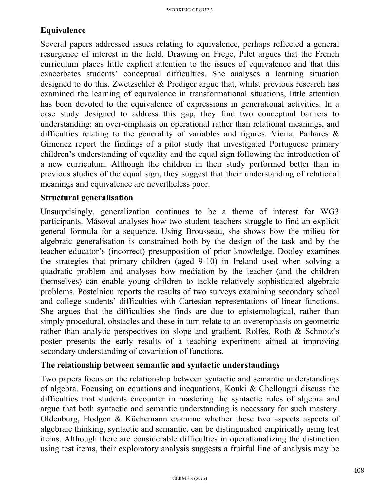# **Equivalence**

Several papers addressed issues relating to equivalence, perhaps reflected a general resurgence of interest in the field. Drawing on Frege, Pilet argues that the French curriculum places little explicit attention to the issues of equivalence and that this exacerbates students' conceptual difficulties. She analyses a learning situation designed to do this. Zwetzschler & Prediger argue that, whilst previous research has examined the learning of equivalence in transformational situations, little attention has been devoted to the equivalence of expressions in generational activities. In a case study designed to address this gap, they find two conceptual barriers to understanding: an over-emphasis on operational rather than relational meanings, and difficulties relating to the generality of variables and figures. Vieira, Palhares  $\&$ Gimenez report the findings of a pilot study that investigated Portuguese primary children's understanding of equality and the equal sign following the introduction of a new curriculum. Although the children in their study performed better than in previous studies of the equal sign, they suggest that their understanding of relational meanings and equivalence are nevertheless poor.

#### **Structural generalisation**

Unsurprisingly, generalization continues to be a theme of interest for WG3 participants. Måsøval analyses how two student teachers struggle to find an explicit general formula for a sequence. Using Brousseau, she shows how the milieu for algebraic generalisation is constrained both by the design of the task and by the teacher educator's (incorrect) presupposition of prior knowledge. Dooley examines the strategies that primary children (aged 9-10) in Ireland used when solving a quadratic problem and analyses how mediation by the teacher (and the children themselves) can enable young children to tackle relatively sophisticated algebraic problems. Postelnicu reports the results of two surveys examining secondary school and college students' difficulties with Cartesian representations of linear functions. She argues that the difficulties she finds are due to epistemological, rather than simply procedural, obstacles and these in turn relate to an overemphasis on geometric rather than analytic perspectives on slope and gradient. Rolfes, Roth & Schnotz's poster presents the early results of a teaching experiment aimed at improving secondary understanding of covariation of functions.

#### **The relationship between semantic and syntactic understandings**

Two papers focus on the relationship between syntactic and semantic understandings of algebra. Focusing on equations and inequations, Kouki & Chellougui discuss the difficulties that students encounter in mastering the syntactic rules of algebra and argue that both syntactic and semantic understanding is necessary for such mastery. Oldenburg, Hodgen & Küchemann examine whether these two aspects aspects of algebraic thinking, syntactic and semantic, can be distinguished empirically using test items. Although there are considerable difficulties in operationalizing the distinction using test items, their exploratory analysis suggests a fruitful line of analysis may be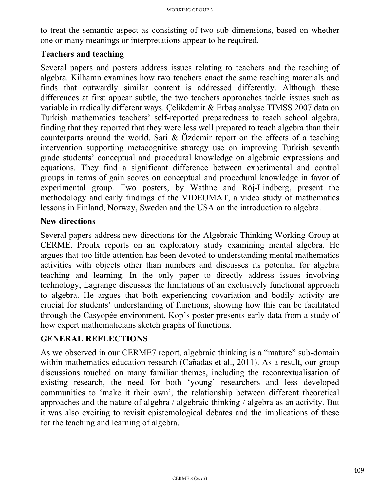to treat the semantic aspect as consisting of two sub-dimensions, based on whether one or many meanings or interpretations appear to be required.

#### **Teachers and teaching**

Several papers and posters address issues relating to teachers and the teaching of algebra. Kilhamn examines how two teachers enact the same teaching materials and finds that outwardly similar content is addressed differently. Although these differences at first appear subtle, the two teachers approaches tackle issues such as variable in radically different ways. Çelikdemir & Erbaş analyse TIMSS 2007 data on Turkish mathematics teachers' self-reported preparedness to teach school algebra, finding that they reported that they were less well prepared to teach algebra than their counterparts around the world. Sari & Özdemir report on the effects of a teaching intervention supporting metacognitive strategy use on improving Turkish seventh grade students' conceptual and procedural knowledge on algebraic expressions and equations. They find a significant difference between experimental and control groups in terms of gain scores on conceptual and procedural knowledge in favor of experimental group. Two posters, by Wathne and Röj-Lindberg, present the methodology and early findings of the VIDEOMAT, a video study of mathematics lessons in Finland, Norway, Sweden and the USA on the introduction to algebra.

#### **New directions**

Several papers address new directions for the Algebraic Thinking Working Group at CERME. Proulx reports on an exploratory study examining mental algebra. He argues that too little attention has been devoted to understanding mental mathematics activities with objects other than numbers and discusses its potential for algebra teaching and learning. In the only paper to directly address issues involving technology, Lagrange discusses the limitations of an exclusively functional approach to algebra. He argues that both experiencing covariation and bodily activity are crucial for students' understanding of functions, showing how this can be facilitated through the Casyopée environment. Kop's poster presents early data from a study of how expert mathematicians sketch graphs of functions.

#### **GENERAL REFLECTIONS**

As we observed in our CERME7 report, algebraic thinking is a "mature" sub-domain within mathematics education research (Cañadas et al., 2011). As a result, our group discussions touched on many familiar themes, including the recontextualisation of existing research, the need for both 'young' researchers and less developed communities to 'make it their own', the relationship between different theoretical approaches and the nature of algebra / algebraic thinking / algebra as an activity. But it was also exciting to revisit epistemological debates and the implications of these for the teaching and learning of algebra.